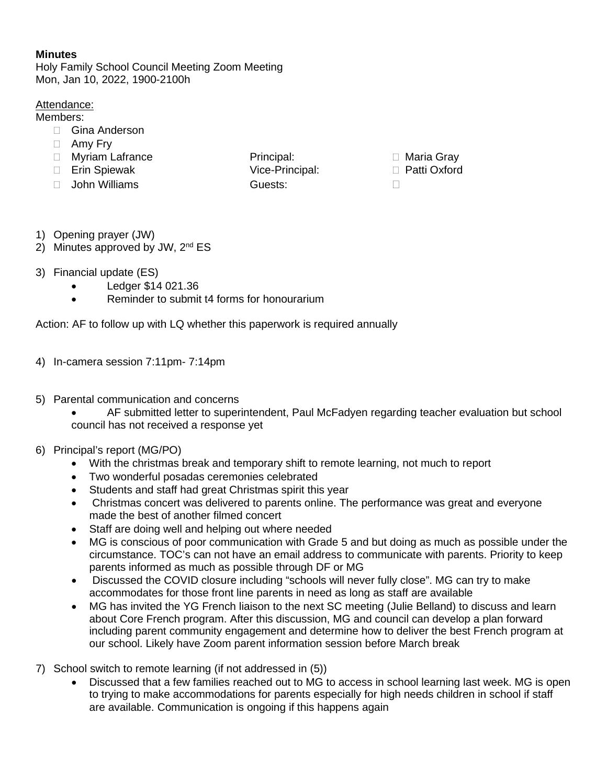## **Minutes**

Holy Family School Council Meeting Zoom Meeting Mon, Jan 10, 2022, 1900-2100h

## Attendance:

Members:

- □ Gina Anderson
- □ Amy Fry
- □ Myriam Lafrance and Principal: □ District District District Principal: □ Maria Gray
- Erin Spiewak Vice-Principal: Patti Oxford
- John Williams Guests:
- 

- 1) Opening prayer (JW)
- 2) Minutes approved by JW, 2<sup>nd</sup> ES
- 3) Financial update (ES)
	- Ledger \$14 021.36
	- Reminder to submit t4 forms for honourarium

Action: AF to follow up with LQ whether this paperwork is required annually

- 4) In-camera session 7:11pm- 7:14pm
- 5) Parental communication and concerns
	- AF submitted letter to superintendent, Paul McFadyen regarding teacher evaluation but school council has not received a response yet
- 6) Principal's report (MG/PO)
	- With the christmas break and temporary shift to remote learning, not much to report
	- Two wonderful posadas ceremonies celebrated
	- Students and staff had great Christmas spirit this year
	- Christmas concert was delivered to parents online. The performance was great and everyone made the best of another filmed concert
	- Staff are doing well and helping out where needed
	- MG is conscious of poor communication with Grade 5 and but doing as much as possible under the circumstance. TOC's can not have an email address to communicate with parents. Priority to keep parents informed as much as possible through DF or MG
	- Discussed the COVID closure including "schools will never fully close". MG can try to make accommodates for those front line parents in need as long as staff are available
	- MG has invited the YG French liaison to the next SC meeting (Julie Belland) to discuss and learn about Core French program. After this discussion, MG and council can develop a plan forward including parent community engagement and determine how to deliver the best French program at our school. Likely have Zoom parent information session before March break
- 7) School switch to remote learning (if not addressed in (5))
	- Discussed that a few families reached out to MG to access in school learning last week. MG is open to trying to make accommodations for parents especially for high needs children in school if staff are available. Communication is ongoing if this happens again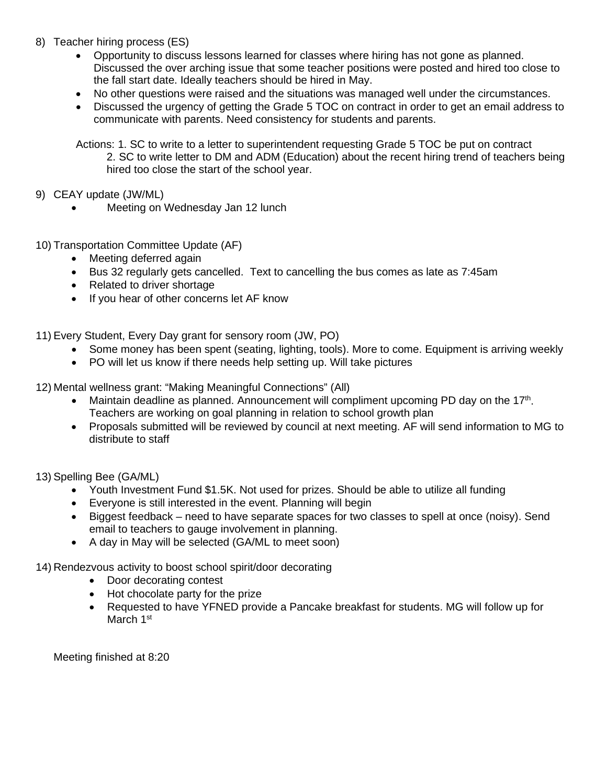- 8) Teacher hiring process (ES)
	- Opportunity to discuss lessons learned for classes where hiring has not gone as planned. Discussed the over arching issue that some teacher positions were posted and hired too close to the fall start date. Ideally teachers should be hired in May.
	- No other questions were raised and the situations was managed well under the circumstances.
	- Discussed the urgency of getting the Grade 5 TOC on contract in order to get an email address to communicate with parents. Need consistency for students and parents.

Actions: 1. SC to write to a letter to superintendent requesting Grade 5 TOC be put on contract 2. SC to write letter to DM and ADM (Education) about the recent hiring trend of teachers being hired too close the start of the school year.

- 9) CEAY update (JW/ML)
	- Meeting on Wednesday Jan 12 lunch
- 10) Transportation Committee Update (AF)
	- Meeting deferred again
	- Bus 32 regularly gets cancelled. Text to cancelling the bus comes as late as 7:45am
	- Related to driver shortage
	- If you hear of other concerns let AF know
- 11) Every Student, Every Day grant for sensory room (JW, PO)
	- Some money has been spent (seating, lighting, tools). More to come. Equipment is arriving weekly
	- PO will let us know if there needs help setting up. Will take pictures

12) Mental wellness grant: "Making Meaningful Connections" (All)

- Maintain deadline as planned. Announcement will compliment upcoming PD day on the 17<sup>th</sup>. Teachers are working on goal planning in relation to school growth plan
- Proposals submitted will be reviewed by council at next meeting. AF will send information to MG to distribute to staff
- 13) Spelling Bee (GA/ML)
	- Youth Investment Fund \$1.5K. Not used for prizes. Should be able to utilize all funding
	- Everyone is still interested in the event. Planning will begin
	- Biggest feedback need to have separate spaces for two classes to spell at once (noisy). Send email to teachers to gauge involvement in planning.
	- A day in May will be selected (GA/ML to meet soon)
- 14) Rendezvous activity to boost school spirit/door decorating
	- Door decorating contest
	- Hot chocolate party for the prize
	- Requested to have YFNED provide a Pancake breakfast for students. MG will follow up for March 1<sup>st</sup>

Meeting finished at 8:20